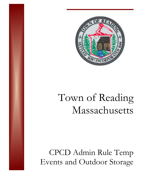

## Town of Reading Massachusetts

CPCD Admin Rule Temp Events and Outdoor Storage